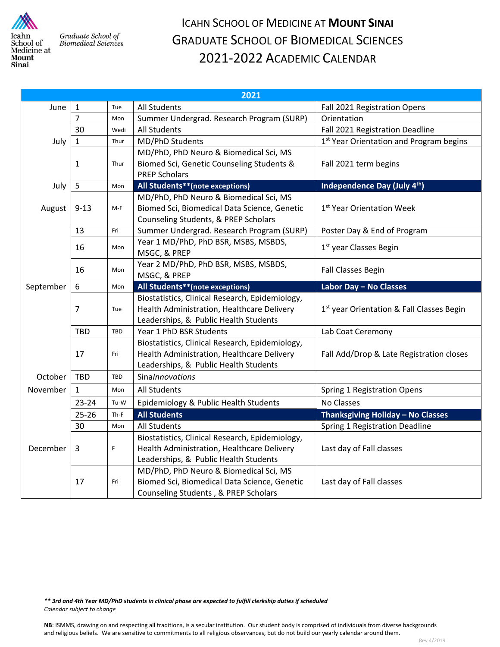

Graduate School of **Biomedical Sciences** 

## ICAHN SCHOOL OF MEDICINE AT **MOUNT SINAI** GRADUATE SCHOOL OF BIOMEDICAL SCIENCES 2021‐2022 ACADEMIC CALENDAR

| 2021      |                |             |                                                 |                                                       |  |
|-----------|----------------|-------------|-------------------------------------------------|-------------------------------------------------------|--|
| June      | $\mathbf{1}$   | Tue         | <b>All Students</b>                             | Fall 2021 Registration Opens                          |  |
|           | $\overline{7}$ | Mon         | Summer Undergrad. Research Program (SURP)       | Orientation                                           |  |
|           | 30             | Wedi        | <b>All Students</b>                             | Fall 2021 Registration Deadline                       |  |
| July      | $\mathbf{1}$   | Thur        | MD/PhD Students                                 | 1 <sup>st</sup> Year Orientation and Program begins   |  |
|           |                |             | MD/PhD, PhD Neuro & Biomedical Sci, MS          |                                                       |  |
|           | 1              | Thur        | Biomed Sci, Genetic Counseling Students &       | Fall 2021 term begins                                 |  |
|           |                |             | <b>PREP Scholars</b>                            |                                                       |  |
| July      | 5              | Mon         | All Students**(note exceptions)                 | Independence Day (July 4th)                           |  |
|           |                |             | MD/PhD, PhD Neuro & Biomedical Sci, MS          |                                                       |  |
| August    | $9 - 13$       | $M-F$       | Biomed Sci, Biomedical Data Science, Genetic    | 1 <sup>st</sup> Year Orientation Week                 |  |
|           |                |             | Counseling Students, & PREP Scholars            |                                                       |  |
|           | 13             | Fri         | Summer Undergrad. Research Program (SURP)       | Poster Day & End of Program                           |  |
|           | 16             | Mon         | Year 1 MD/PhD, PhD BSR, MSBS, MSBDS,            | 1 <sup>st</sup> year Classes Begin                    |  |
|           |                |             | MSGC, & PREP                                    |                                                       |  |
|           | 16             | Mon         | Year 2 MD/PhD, PhD BSR, MSBS, MSBDS,            | <b>Fall Classes Begin</b>                             |  |
|           |                |             | MSGC, & PREP                                    |                                                       |  |
| September | 6              | Mon         | All Students**(note exceptions)                 | Labor Day - No Classes                                |  |
|           |                |             | Biostatistics, Clinical Research, Epidemiology, |                                                       |  |
|           | $\overline{7}$ | Tue         | Health Administration, Healthcare Delivery      | 1 <sup>st</sup> year Orientation & Fall Classes Begin |  |
|           |                |             | Leaderships, & Public Health Students           |                                                       |  |
|           | TBD            | TBD         | Year 1 PhD BSR Students                         | Lab Coat Ceremony                                     |  |
|           |                |             | Biostatistics, Clinical Research, Epidemiology, |                                                       |  |
|           | 17             | Fri         | Health Administration, Healthcare Delivery      | Fall Add/Drop & Late Registration closes              |  |
|           |                |             | Leaderships, & Public Health Students           |                                                       |  |
| October   | <b>TBD</b>     | TBD         | SinaInnovations                                 |                                                       |  |
| November  | $\mathbf{1}$   | Mon         | <b>All Students</b>                             | <b>Spring 1 Registration Opens</b>                    |  |
|           | $23 - 24$      | Tu-W        | Epidemiology & Public Health Students           | No Classes                                            |  |
|           | $25 - 26$      | Th-F        | <b>All Students</b>                             | Thanksgiving Holiday - No Classes                     |  |
| December  | 30             | Mon         | <b>All Students</b>                             | Spring 1 Registration Deadline                        |  |
|           |                |             | Biostatistics, Clinical Research, Epidemiology, |                                                       |  |
|           | 3              | $\mathsf F$ | Health Administration, Healthcare Delivery      | Last day of Fall classes                              |  |
|           |                |             | Leaderships, & Public Health Students           |                                                       |  |
|           |                |             | MD/PhD, PhD Neuro & Biomedical Sci, MS          |                                                       |  |
|           | 17             | Fri         | Biomed Sci, Biomedical Data Science, Genetic    | Last day of Fall classes                              |  |
|           |                |             | Counseling Students, & PREP Scholars            |                                                       |  |

\*\* 3rd and 4th Year MD/PhD students in clinical phase are expected to fulfill clerkship duties if scheduled *Calendar subject to change*

**NB**: ISMMS, drawing on and respecting all traditions, is a secular institution. Our student body is comprised of individuals from diverse backgrounds and religious beliefs. We are sensitive to commitments to all religious observances, but do not build our yearly calendar around them.